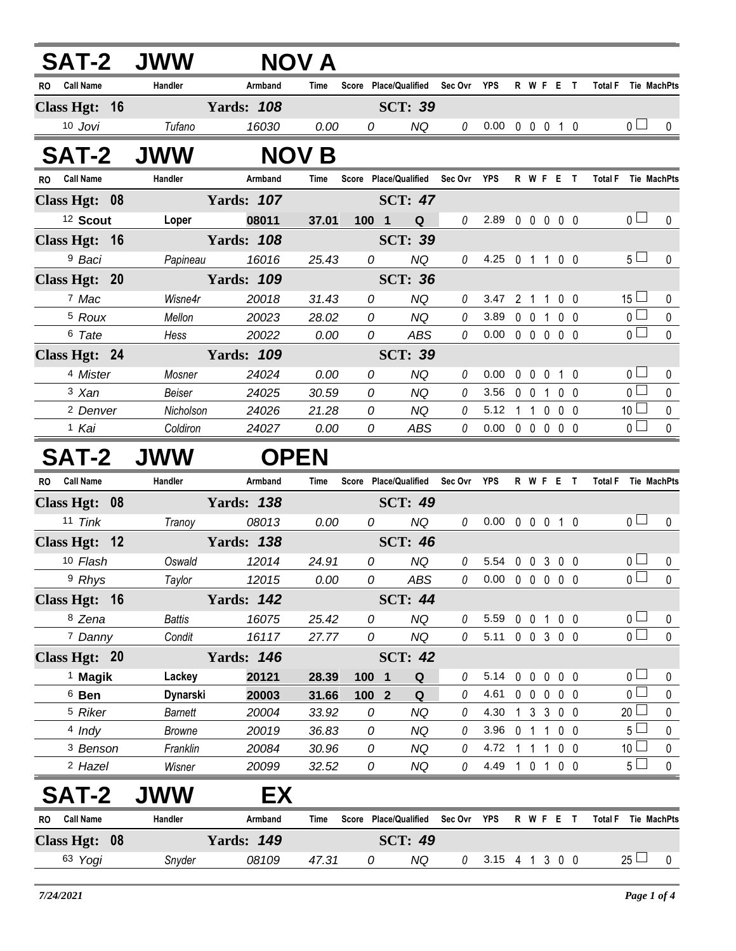| <b>SAT-2 JWW</b>        |                 |                   | NOV A        |       |                                   |              |                            |  |                   |                 |                     |
|-------------------------|-----------------|-------------------|--------------|-------|-----------------------------------|--------------|----------------------------|--|-------------------|-----------------|---------------------|
| RO Call Name            | Handler         | Armband           | Time         |       | Score Place/Qualified Sec Ovr YPS |              |                            |  | R W F E T         |                 | Total F Tie MachPts |
| Class Hgt: 16           |                 | <b>Yards: 108</b> |              |       | <b>SCT: 39</b>                    |              |                            |  |                   |                 |                     |
| 10 Jovi                 | Tufano          | 16030             | 0.00         | 0     | NQ                                | 0            | $0.00 \t0 \t0 \t0 \t1 \t0$ |  |                   | 0 <sub>1</sub>  | $\mathbf{0}$        |
| <b>SAT-2 JWW</b>        |                 |                   | <b>NOV B</b> |       |                                   |              |                            |  |                   |                 |                     |
| RO Call Name            | Handler         | Armband           | Time         |       | Score Place/Qualified Sec Ovr YPS |              |                            |  | R W F E T         |                 | Total F Tie MachPts |
| Class Hgt: 08           |                 | <b>Yards: 107</b> |              |       | <b>SCT: 47</b>                    |              |                            |  |                   |                 |                     |
| <sup>12</sup> Scout     | Loper           | 08011             | 37.01        | 100 1 | Q                                 | $\theta$     | 2.89 0 0 0 0 0             |  |                   | 0 <sub>0</sub>  | $\mathbf 0$         |
| Class Hgt: 16           |                 | <b>Yards: 108</b> |              |       | <b>SCT: 39</b>                    |              |                            |  |                   |                 |                     |
| <sup>9</sup> Baci       | Papineau        | 16016             | 25.43        | 0     | NQ                                | 0            | 4.25 0 1 1 0 0             |  |                   | 5 <sub>1</sub>  | $\mathbf 0$         |
| Class Hgt: 20           |                 | <b>Yards: 109</b> |              |       | <b>SCT: 36</b>                    |              |                            |  |                   |                 |                     |
| 7 Mac                   | Wisne4r         | 20018             | 31.43        | 0     | <b>NQ</b>                         | $\theta$     | 3.47 2 1 1 0 0             |  |                   | $15 \Box$       | 0                   |
| <sup>5</sup> Roux       | Mellon          | 20023             | 28.02        | 0     | <b>NQ</b>                         | $\theta$     | 3.89                       |  | 0 0 1 0 0         | $\overline{0}$  | $\pmb{0}$           |
| <sup>6</sup> Tate       | Hess            | 20022             | 0.00         | 0     | ABS                               | 0            | $0.00 \t0 \t0 \t0 \t0 \t0$ |  |                   | $\overline{0}$  | $\mathbf 0$         |
| Class Hgt: 24           |                 | <b>Yards: 109</b> |              |       | <b>SCT: 39</b>                    |              |                            |  |                   |                 |                     |
| <sup>4</sup> Mister     | Mosner          | 24024             | 0.00         | 0     | <b>NQ</b>                         | 0            | 0.00                       |  | 0 0 0 1 0         | 0 <sub>l</sub>  | 0                   |
| 3 Xan                   | Beiser          | 24025             | 30.59        | 0     | <b>NQ</b>                         | $\theta$     | 3.56                       |  | 0 0 1 0 0         | $\overline{0}$  | $\mathbf 0$         |
| <sup>2</sup> Denver     | Nicholson       | 24026             | 21.28        | 0     | <b>NQ</b>                         | 0            | 5.12 1 1 0 0 0             |  |                   | 10 <sup>1</sup> | $\pmb{0}$           |
| <sup>1</sup> Kai        | Coldiron        | 24027             | 0.00         | 0     | ABS                               | 0            | $0.00 \t0 \t0 \t0 \t0 \t0$ |  |                   | 0 <sup>1</sup>  | $\pmb{0}$           |
| <b>SAT-2 JWW</b>        |                 |                   | <b>OPEN</b>  |       |                                   |              |                            |  |                   |                 |                     |
| RO Call Name            | Handler         | Armband           | <b>Time</b>  |       | Score Place/Qualified Sec Ovr     |              | YPS                        |  | R W F E T         |                 | Total F Tie MachPts |
| Class Hgt: 08           |                 | <b>Yards: 138</b> |              |       | <b>SCT: 49</b>                    |              |                            |  |                   |                 |                     |
| 11 Tink                 | Tranoy          | 08013             | 0.00         | 0     | <b>NQ</b>                         | 0            | $0.00 \t0 \t0 \t0 \t1 \t0$ |  |                   | 0 <sub>0</sub>  | $\mathbf 0$         |
| Class Hgt: 12           |                 | <b>Yards: 138</b> |              |       | <b>SCT: 46</b>                    |              |                            |  |                   |                 |                     |
| 10 Flash                | Oswald          | 12014             | 24.91        | 0     | <b>NQ</b>                         | $\theta$     | 5.54 0 0 3 0 0             |  |                   | 0 <sub>0</sub>  | $\mathbf 0$         |
| 9 Rhys                  | Taylor          | 12015             | 0.00         | 0     | ABS                               | $\mathcal O$ | 0.00 0 0 0 0 0             |  |                   | $\overline{0}$  | $\mathbf{0}$        |
| Class Hgt: 16           |                 | <b>Yards: 142</b> |              |       | <b>SCT: 44</b>                    |              |                            |  |                   |                 |                     |
| 8 Zena                  | <b>Battis</b>   | 16075             | 25.42        | 0     | <b>NQ</b>                         | 0            | 5.59                       |  | 0 0 1 0 0         | 0 <sub>0</sub>  | 0                   |
| 7 Danny                 | Condit          | 16117             | 27.77        | 0     | <b>NQ</b>                         | 0            | 5.11 0 0 3 0 0             |  |                   | $\overline{0}$  | $\mathbf 0$         |
| Class Hgt: 20           |                 | <b>Yards: 146</b> |              |       | <b>SCT: 42</b>                    |              |                            |  |                   |                 |                     |
| $1$ Magik               | Lackey          | 20121             | 28.39        | 100 1 | Q                                 | 0            | $5.14 \quad 0 \quad 0$     |  | $0\quad 0\quad 0$ | 0 <sub>0</sub>  | 0                   |
| $6$ Ben                 | <b>Dynarski</b> | 20003             | 31.66        | 100 2 | Q                                 | 0            | 4.61                       |  | 00000             | 0 <sub>1</sub>  | 0                   |
| <sup>5</sup> Riker      | <b>Barnett</b>  | 20004             | 33.92        | 0     | <b>NQ</b>                         | 0            | 4.30                       |  | 1 3 3 0 0         | $20$ $\Box$     | $\pmb{0}$           |
| $4$ Indy                | <b>Browne</b>   | 20019             | 36.83        | 0     | <b>NQ</b>                         | 0            | 3.96                       |  | 0 1 1 0 0         | $5 -$           | 0                   |
| <sup>3</sup> Benson     | Franklin        | 20084             | 30.96        | 0     | <b>NQ</b>                         | 0            | 4.72 1 1 1 0 0             |  |                   | 10 <sup>1</sup> | $\pmb{0}$           |
| <sup>2</sup> Hazel      | Wisner          | 20099             | 32.52        | 0     | <b>NQ</b>                         | 0            | 4.49 1 0 1 0 0             |  |                   | $5\perp$        | $\pmb{0}$           |
| <b>SAT-2</b>            | <b>JWW</b>      | EX                |              |       |                                   |              |                            |  |                   |                 |                     |
| <b>Call Name</b><br>RO. | Handler         | Armband           | <b>Time</b>  |       | Score Place/Qualified             | Sec Ovr      | YPS                        |  | R W F E T         |                 | Total F Tie MachPts |
| Class Hgt: 08           |                 | <b>Yards: 149</b> |              |       | <b>SCT: 49</b>                    |              |                            |  |                   |                 |                     |
| 63 Yogi                 | Snyder          | 08109             | 47.31        | 0     | NQ                                | $\theta$     | 3.15 4 1 3 0 0             |  |                   | $25 \Box$       | 0                   |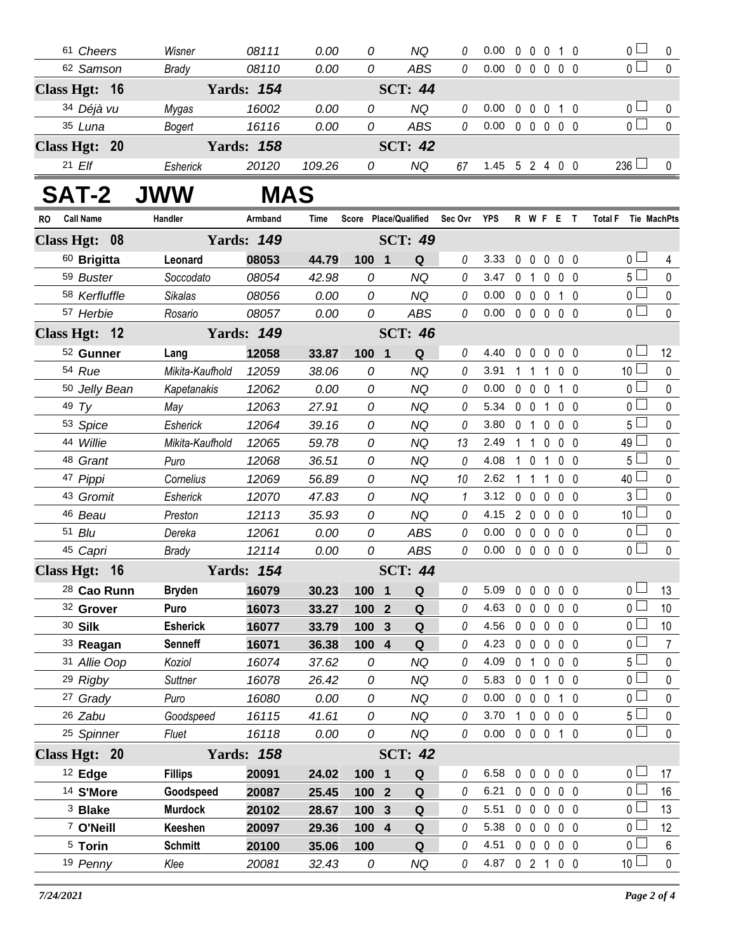|               | 61 Cheers                       |  | Wisner                      | 08111             | 0.00           | 0              | NQ                    | 0            | 0.00           | 0            |                                 | 0010                        |                              | 0 <sub>0</sub>                   | 0                        |
|---------------|---------------------------------|--|-----------------------------|-------------------|----------------|----------------|-----------------------|--------------|----------------|--------------|---------------------------------|-----------------------------|------------------------------|----------------------------------|--------------------------|
|               | 62 Samson                       |  | <b>Brady</b>                | 08110             | 0.00           | 0              | <b>ABS</b>            | $\theta$     | 0.00           |              |                                 | $0\quad 0\quad 0\quad$      | 0 <sub>0</sub>               | 0 <sup>1</sup>                   | $\Omega$                 |
| Class Hgt: 16 |                                 |  |                             | <b>Yards: 154</b> |                |                | <b>SCT: 44</b>        |              |                |              |                                 |                             |                              |                                  |                          |
|               | 34 Déjà vu                      |  | Mygas                       | 16002             | 0.00           | 0              | <b>NQ</b>             | 0            | 0.00           |              | $0\quad 0\quad 0$               |                             | 10                           | $0-$                             | 0                        |
|               | 35 Luna                         |  | <b>Bogert</b>               | 16116             | 0.00           | 0              | <b>ABS</b>            | $\mathcal O$ | 0.00           |              |                                 | 00000                       |                              | $\overline{0}$                   | $\mathbf{0}$             |
| Class Hgt: 20 |                                 |  | <b>Yards: 158</b>           |                   |                | <b>SCT: 42</b> |                       |              |                |              |                                 |                             |                              |                                  |                          |
|               | $21$ $E/f$                      |  | Esherick                    | 20120             | 109.26         | 0              | <b>NQ</b>             | 67           | 1.45 5 2 4 0 0 |              |                                 |                             |                              | $236$ $\Box$                     | 0                        |
|               | <b>SAT-2</b>                    |  | <b>JWW</b>                  | <b>MAS</b>        |                |                |                       |              |                |              |                                 |                             |                              |                                  |                          |
| RO            | <b>Call Name</b>                |  | Handler                     | Armband           | Time           |                | Score Place/Qualified | Sec Ovr      | <b>YPS</b>     |              |                                 | R W F E T                   |                              | <b>Total F</b><br>Tie MachPts    |                          |
| Class Hgt: 08 |                                 |  | <b>Yards: 149</b>           |                   |                | <b>SCT: 49</b> |                       |              |                |              |                                 |                             |                              |                                  |                          |
|               | 60 Brigitta                     |  | Leonard                     | 08053             | 44.79          | 100 1          | Q                     | $\theta$     | 3.33           |              | $0\quad 0$                      | $\mathbf 0$                 | $0\quad 0$                   | 0 <sub>1</sub>                   | 4                        |
|               | 59 Buster                       |  | Soccodato                   | 08054             | 42.98          | 0              | <b>NQ</b>             | $\theta$     | 3.47           |              | 0 <sub>1</sub>                  | $\mathbf 0$                 | 0 <sub>0</sub>               | 5 <sub>1</sub>                   | $\mathbf{0}$             |
|               | 58 Kerfluffle                   |  | <b>Sikalas</b>              | 08056             | 0.00           | 0              | <b>NQ</b>             | 0            | 0.00           |              | $0\quad 0\quad 0$               |                             | 1 0                          | 0 <sub>1</sub>                   | 0                        |
|               | 57 Herbie                       |  | Rosario                     | 08057             | 0.00           | 0              | <b>ABS</b>            | 0            | 0.00           |              | $0\quad 0\quad 0$               |                             | $0\quad 0$                   | $\overline{0}$                   | 0                        |
| Class Hgt: 12 |                                 |  |                             | <b>Yards: 149</b> |                |                | <b>SCT: 46</b>        |              |                |              |                                 |                             |                              |                                  |                          |
|               | 52 Gunner                       |  | Lang                        | 12058             | 33.87          | 100 1          | Q                     | 0            | 4.40           |              | $0\quad 0\quad 0$               |                             | 0 <sub>0</sub>               | 0 <sup>1</sup>                   | 12                       |
|               | 54 Rue                          |  | Mikita-Kaufhold             | 12059             | 38.06          | 0              | <b>NQ</b>             | 0            | 3.91           |              | $1\quad1$                       | $\mathbf 1$                 | 0 <sub>0</sub>               | 10 <sup>L</sup>                  | $\mathbf 0$              |
|               | 50 Jelly Bean                   |  | Kapetanakis                 | 12062             | 0.00           | 0              | NQ                    | 0            | 0.00           |              | $0\quad 0\quad 0$               |                             | 1 0                          | 0 <sub>1</sub>                   | 0                        |
|               | 49 $Ty$                         |  | May                         | 12063             | 27.91          | 0              | <b>NQ</b>             | 0            | 5.34           |              | $0\quad 0$                      | $\mathbf{1}$                | 0 <sub>0</sub>               | 0 <sub>0</sub>                   | 0                        |
|               | 53 Spice                        |  | Esherick                    | 12064             | 39.16          | 0              | <b>NQ</b>             | 0            | 3.80           |              | 0 <sub>1</sub>                  | $\mathbf{0}$                | 0 <sub>0</sub>               | 5 <sub>1</sub>                   | 0                        |
|               | 44 Willie                       |  | Mikita-Kaufhold             | 12065             | 59.78          | 0              | <b>NQ</b>             | 13           | 2.49           |              | 1 1                             | $\mathbf 0$                 | 0 <sub>0</sub>               | 49                               | $\mathbf 0$              |
|               | 48 Grant                        |  | Puro                        | 12068             | 36.51          | 0              | <b>NQ</b>             | 0            | 4.08           | $\mathbf{1}$ | $\overline{0}$                  | $\mathbf{1}$                | 0 <sub>0</sub>               | $5 \perp$                        | 0                        |
|               | 47 Pippi                        |  | Cornelius                   | 12069             | 56.89          | 0              | <b>NQ</b>             | 10           | 2.62           |              | -1                              | 1                           | 0 <sub>0</sub>               | 40                               | 0                        |
|               | 43 Gromit                       |  | Esherick                    | 12070             | 47.83          | 0              | NQ                    | 1            | 3.12           |              | $0\quad 0$                      | $\mathbf{0}$                | 0 <sub>0</sub>               | 3 <sup>L</sup>                   | 0                        |
|               | 46 Beau                         |  | Preston                     | 12113             | 35.93          | 0              | <b>NQ</b>             | 0            | 4.15           |              | $2\quad0$                       | $\overline{0}$              | 0 <sub>0</sub>               | 10 <sup>1</sup>                  | $\pmb{0}$                |
|               | 51 Blu                          |  | Dereka                      | 12061             | 0.00           | 0              | <b>ABS</b>            | 0            | 0.00           |              | $0\quad 0$                      | $\mathbf 0$                 | 0 <sub>0</sub>               | 0 <sub>0</sub>                   | $\pmb{0}$                |
|               | 45 Capri                        |  | <b>Brady</b>                | 12114             | 0.00           | 0              | <b>ABS</b>            | 0            | 0.00           |              | $0\quad 0\quad 0$               |                             | 0 <sub>0</sub>               | 0 <sub>1</sub>                   | $\Omega$                 |
| Class Hgt: 16 |                                 |  |                             | <b>Yards: 154</b> |                |                | <b>SCT: 44</b>        |              |                |              |                                 |                             |                              |                                  |                          |
|               | 28 Cao Runn                     |  | <b>Bryden</b>               | 16079             | 30.23          | 100 1          | Q                     | 0            | 5.09           | 0            | $\mathbf 0$                     | $\pmb{0}$                   | 0 <sub>0</sub>               | 0 <sub>1</sub>                   | 13                       |
|               | 32 Grover                       |  | Puro                        | 16073             | 33.27          | $1002$         | $\mathbf Q$           | 0            | 4.63           |              | $0\quad 0$                      | $\mathbf 0$                 | 0 <sub>0</sub>               | 0 L                              | 10                       |
|               | 30 Silk                         |  | <b>Esherick</b>             | 16077             | 33.79          | 100 3          | $\mathbf Q$           | 0            | 4.56           |              | $0\quad 0$                      | $\mathbf 0$                 | 0 <sub>0</sub>               | 0 <sup>1</sup>                   | 10                       |
|               | 33 Reagan                       |  | <b>Senneff</b>              | 16071             | 36.38          | 100 4          | Q                     | 0            | 4.23           |              | $0\quad 0\quad 0$               |                             | 0 <sub>0</sub>               | 0 <sub>0</sub>                   | $\overline{7}$           |
|               | 31 Allie Oop                    |  | Koziol                      | 16074             | 37.62          | 0              | <b>NQ</b>             | 0            | 4.09           |              | 0 <sub>1</sub>                  | $\mathbf 0$                 | $0\quad 0$                   | $5\Box$                          | 0                        |
|               | <sup>29</sup> Rigby             |  | <b>Suttner</b>              | 16078             | 26.42          | 0              | <b>NQ</b>             | 0            | 5.83           |              | $0\quad 0$                      | $\mathbf{1}$                | $0\quad 0$                   | 0 <sub>0</sub><br>$\overline{0}$ | 0                        |
|               | <sup>27</sup> Grady             |  | Puro                        | 16080             | 0.00           | 0              | <b>NQ</b>             | 0            | 0.00           |              | $0\quad 0$                      | $\overline{0}$              | 1 0                          | 5 <sub>1</sub>                   | 0                        |
|               | 26 Zabu                         |  | Goodspeed                   | 16115             | 41.61          | 0              | <b>NQ</b>             | 0            | 3.70           |              | $1\quad 0$<br>$0\quad 0\quad 0$ | $\overline{0}$              | $0\quad 0$                   | $_0$ $\Box$                      | $\pmb{0}$<br>$\mathbf 0$ |
|               | 25 Spinner                      |  | Fluet                       | 16118             | 0.00           | 0              | NQ                    | 0            | 0.00           |              |                                 |                             | $1\quad 0$                   |                                  |                          |
| Class Hgt: 20 |                                 |  |                             | <b>Yards: 158</b> |                |                | <b>SCT: 42</b>        |              |                |              |                                 |                             |                              |                                  |                          |
|               | $12$ Edge                       |  | <b>Fillips</b>              | 20091             | 24.02          | 100 1          | $\mathbf Q$           | 0            | 6.58           | 0            | $\mathbf 0$                     | $\pmb{0}$                   | $0\quad 0$                   | 0 <sub>0</sub><br>$\overline{0}$ | 17                       |
|               | <sup>14</sup> S'More            |  | Goodspeed<br><b>Murdock</b> | 20087             | 25.45          | 100 2          | Q                     | 0<br>0       | 6.21<br>5.51   |              | $0\quad 0$<br>$0\quad 0$        | $\mathbf 0$                 | 0 <sub>0</sub>               | 0 <sup>1</sup>                   | 16<br>13                 |
|               | <sup>3</sup> Blake<br>7 O'Neill |  | Keeshen                     | 20102<br>20097    | 28.67<br>29.36 | 100 3<br>100 4 | $\mathbf Q$<br>Q      | 0            | 5.38           |              | $0\quad 0$                      | $\overline{0}$<br>$\pmb{0}$ | $0\quad 0$<br>0 <sub>0</sub> | $\overline{0}$                   | 12                       |
|               | <sup>5</sup> Torin              |  | <b>Schmitt</b>              | 20100             | 35.06          | 100            | Q                     | 0            | 4.51           |              | $0\quad 0$                      | $\overline{0}$              | 0 <sub>0</sub>               | 0 <sup>1</sup>                   | 6                        |
|               | 19 Penny                        |  | Klee                        | 20081             | 32.43          | 0              | NQ                    | 0            | 4.87           |              | 0 <sub>2</sub>                  | $\overline{1}$              | 0 <sub>0</sub>               | $10$ $\Box$                      | $\pmb{0}$                |
|               |                                 |  |                             |                   |                |                |                       |              |                |              |                                 |                             |                              |                                  |                          |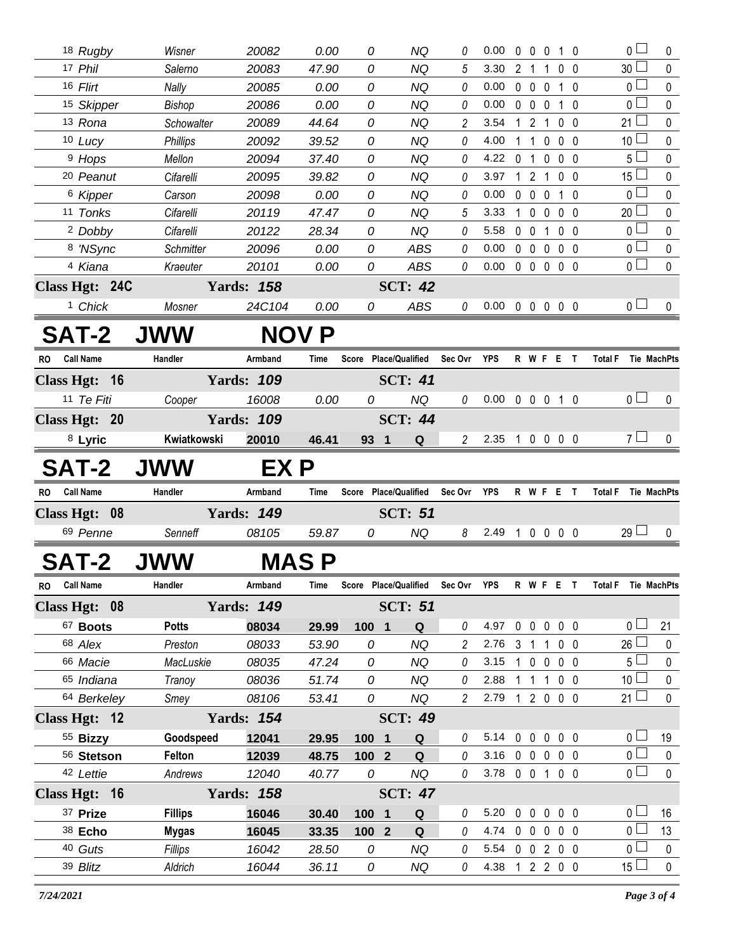|           | 18 Rugby               | Wisner               | 20082             | 0.00           | 0              | NQ                                | 0              | 0.00                       |                |                   | 0 0 0 1 0         |           |                     | 0 <sub>0</sub>  | 0            |
|-----------|------------------------|----------------------|-------------------|----------------|----------------|-----------------------------------|----------------|----------------------------|----------------|-------------------|-------------------|-----------|---------------------|-----------------|--------------|
|           | 17 Phil                | Salerno              | 20083             | 47.90          | 0              | <b>NQ</b>                         | 5              | 3.30                       | 2 <sub>1</sub> | 1                 | $0\quad 0$        |           |                     | 30 <sup>1</sup> | 0            |
|           | 16 Flirt               | Nally                | 20085             | 0.00           | 0              | <b>NQ</b>                         | $\it{0}$       | 0.00                       |                |                   | 0 0 0 1 0         |           |                     | 0 l             | 0            |
|           | 15 Skipper             | Bishop               | 20086             | 0.00           | 0              | <b>NQ</b>                         | 0              | 0.00                       |                |                   | 0 0 0 1 0         |           |                     | 0 <sup>L</sup>  | $\mathbf 0$  |
|           | 13 Rona                | Schowalter           | 20089             | 44.64          | 0              | <b>NQ</b>                         | 2              | 3.54                       |                |                   | 1 2 1 0 0         |           |                     | 21 <sup>1</sup> | 0            |
|           | 10 Lucy                | <b>Phillips</b>      | 20092             | 39.52          | 0              | <b>NQ</b>                         | 0              | 4.00                       | $1\quad1$      |                   | $0\quad 0\quad 0$ |           |                     | 10 <sup>1</sup> | 0            |
|           | <sup>9</sup> Hops      | Mellon               | 20094             | 37.40          | 0              | <b>NQ</b>                         | $\theta$       | 4.22                       | 0 <sub>1</sub> |                   | $0\quad 0\quad 0$ |           |                     | 5 <sup>1</sup>  | 0            |
|           | <sup>20</sup> Peanut   | Cifarelli            | 20095             | 39.82          | 0              | <b>NQ</b>                         | 0              | 3.97                       |                | 121               | $0\quad 0$        |           |                     | 15 $\Box$       | 0            |
|           | 6 Kipper               | Carson               | 20098             | 0.00           | 0              | <b>NQ</b>                         | 0              | 0.00                       |                | $0\quad 0\quad 0$ | $1\quad0$         |           |                     | 0 L             | 0            |
|           | 11 Tonks               | Cifarelli            | 20119             | 47.47          | 0              | <b>NQ</b>                         | 5              | 3.33                       |                |                   | 1 0 0 0 0         |           |                     | 20 <sup>1</sup> | $\mathbf 0$  |
|           | <sup>2</sup> Dobby     | Cifarelli            | 20122             | 28.34          | 0              | <b>NQ</b>                         | 0              | 5.58                       | $0\quad 0$     | $\mathbf{1}$      | $0\quad 0$        |           |                     | 0 L             | 0            |
|           | 8 'NSync               | Schmitter            | 20096             | 0.00           | 0              | <b>ABS</b>                        | 0              | 0.00                       |                |                   | 00000             |           |                     | 0 <sup>1</sup>  | $\pmb{0}$    |
|           | 4 Kiana                | Kraeuter             | 20101             | 0.00           | 0              | ABS                               | $\theta$       | 0.00                       |                |                   | $00000$           |           |                     | 0 <sub>0</sub>  | $\mathbf 0$  |
|           | Class Hgt: 24C         |                      | <b>Yards: 158</b> |                |                | <b>SCT: 42</b>                    |                |                            |                |                   |                   |           |                     |                 |              |
|           | <sup>1</sup> Chick     | Mosner               | 24C104            | 0.00           | 0              | ABS                               | 0              | $0.00 \t0 \t0 \t0 \t0 \t0$ |                |                   |                   |           |                     | 0 <sub>0</sub>  | $\mathbf{0}$ |
|           | <b>SAT-2</b>           | <b>JWW</b>           | <b>NOV</b>        | P              |                |                                   |                |                            |                |                   |                   |           |                     |                 |              |
| <b>RO</b> | <b>Call Name</b>       | Handler              | Armband           | Time           | Score          | <b>Place/Qualified</b>            | Sec Ovr        | YPS                        |                |                   | R W F E T         |           | <b>Total F</b>      |                 | Tie MachPts  |
|           | Class Hgt: 16          |                      | <b>Yards: 109</b> |                |                | <b>SCT: 41</b>                    |                |                            |                |                   |                   |           |                     |                 |              |
|           | 11 Te Fiti             | Cooper               | 16008             | 0.00           | 0              | NQ                                | 0              | 0.00                       |                |                   | 0 0 0 1 0         |           |                     | 0 <sub>1</sub>  | 0            |
|           | Class Hgt: 20          |                      | <b>Yards: 109</b> |                |                | <b>SCT: 44</b>                    |                |                            |                |                   |                   |           |                     |                 |              |
|           | 8 Lyric                | Kwiatkowski          | 20010             | 46.41          | 93 1           | Q                                 | $\mathbf{2}$   | 2.35 1 0 0 0 0             |                |                   |                   |           |                     | 7 <sub>1</sub>  | 0            |
|           |                        |                      |                   |                |                |                                   |                |                            |                |                   |                   |           |                     |                 |              |
|           | SAT-2                  | <b>JWW</b>           | EX P              |                |                |                                   |                |                            |                |                   |                   |           |                     |                 |              |
|           | RO Call Name           |                      | Armband           | Time           |                | Score Place/Qualified             | Sec Ovr        | YPS                        |                |                   | R W F E T         |           | <b>Total F</b>      |                 | Tie MachPts  |
|           |                        | Handler              |                   |                |                |                                   |                |                            |                |                   |                   |           |                     |                 |              |
|           | Class Hgt: 08          |                      | <b>Yards: 149</b> |                |                | <b>SCT: 51</b>                    |                |                            |                |                   |                   |           |                     |                 |              |
|           | 69 Penne               | Senneff              | 08105             | 59.87          | 0              | <b>NQ</b>                         | 8              | 2.49                       |                |                   | 10000             |           |                     | $29 \Box$       | $\mathbf{0}$ |
|           | SAT-2                  |                      |                   | <b>MAS P</b>   |                |                                   |                |                            |                |                   |                   |           |                     |                 |              |
|           | RO Call Name           | Handler              | Armband           | Time           |                | Score Place/Qualified Sec Ovr YPS |                |                            |                |                   |                   | R W F E T | Total F Tie MachPts |                 |              |
|           |                        |                      |                   |                |                |                                   |                |                            |                |                   |                   |           |                     |                 |              |
|           | Class Hgt: 08          |                      | <b>Yards: 149</b> |                |                | <b>SCT: 51</b>                    | 0              |                            |                |                   |                   |           |                     | 0 <sup>1</sup>  |              |
|           | 67 Boots<br>68 Alex    | <b>Potts</b>         | 08034<br>08033    | 29.99<br>53.90 | 100 1<br>0     | Q<br><b>NQ</b>                    | $\overline{c}$ | 4.97 0 0 0 0 0<br>2.76 3 1 |                | $\mathbf{1}$      | $0\quad 0$        |           |                     | 26              | 21<br>0      |
|           | 66 Macie               | Preston<br>MacLuskie | 08035             | 47.24          | 0              | NQ                                | 0              | 3.15                       |                |                   | 10000             |           |                     | 5 <sup>1</sup>  | 0            |
|           | 65 Indiana             | Tranoy               | 08036             | 51.74          | 0              | NQ                                | 0              | 2.88                       | $1\quad1$      |                   | $100$             |           |                     | 10 <sup>1</sup> | $\pmb{0}$    |
|           | 64 Berkeley            | Smey                 | 08106             | 53.41          | 0              | NQ                                | $\overline{2}$ | 2.79                       |                |                   | 1 2 0 0 0         |           |                     | 21 $\Box$       | $\mathbf 0$  |
|           | Class Hgt: 12          |                      | <b>Yards: 154</b> |                |                | <b>SCT: 49</b>                    |                |                            |                |                   |                   |           |                     |                 |              |
|           |                        | Goodspeed            |                   |                |                | Q                                 | 0              | 5.14 0 0 0 0 0             |                |                   |                   |           |                     | 0 <sub>0</sub>  | 19           |
|           | 55 Bizzy<br>56 Stetson | Felton               | 12041<br>12039    | 29.95<br>48.75 | 100 1<br>100 2 | Q                                 | 0              | 3.16                       | $0\quad 0$     | $\mathbf 0$       | $0\quad 0$        |           |                     | 0 <sub>1</sub>  | 0            |
|           | 42 Lettie              | Andrews              | 12040             | 40.77          | 0              | NQ                                | $\Omega$       | 3.78 0 0 1 0 0             |                |                   |                   |           |                     | 0 <sub>0</sub>  | $\mathbf 0$  |
|           | Class Hgt: 16          |                      | <b>Yards: 158</b> |                |                | <b>SCT: 47</b>                    |                |                            |                |                   |                   |           |                     |                 |              |
|           | 37 Prize               | <b>Fillips</b>       | 16046             | 30.40          | 100 1          | Q                                 | 0              | 5.20                       |                |                   | 00000             |           |                     | 0 <sub>0</sub>  | 16           |
|           | 38 Echo                | <b>Mygas</b>         | 16045             | 33.35          | $1002$         | Q                                 | $\theta$       | 4.74 0 0 0 0 0             |                |                   |                   |           |                     | 0 L             | 13           |
|           | 40 Guts                | Fillips              | 16042             | 28.50          | 0              | NQ                                | 0              | 5.54 0 0 2 0 0             |                |                   |                   |           |                     | 0 <sup>1</sup>  | 0            |
|           | 39 Blitz               | Aldrich              | 16044             | 36.11          | 0              | NQ                                | 0              | 4.38 1 2 2 0 0             |                |                   |                   |           |                     | $15 \Box$       | $\mathbf 0$  |